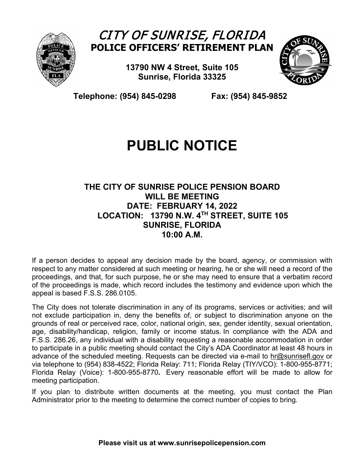

## CITY OF SUNRISE, FLORIDA **POLICE OFFICERS' RETIREMENT PLAN**

**13790 NW 4 Street, Suite 105 Sunrise, Florida 33325**



 **Telephone: (954) 845-0298 Fax: (954) 845-9852**

## **PUBLIC NOTICE**

## **THE CITY OF SUNRISE POLICE PENSION BOARD WILL BE MEETING DATE: FEBRUARY 14, 2022 LOCATION: 13790 N.W. 4TH STREET, SUITE 105 SUNRISE, FLORIDA 10:00 A.M.**

If a person decides to appeal any decision made by the board, agency, or commission with respect to any matter considered at such meeting or hearing, he or she will need a record of the proceedings, and that, for such purpose, he or she may need to ensure that a verbatim record of the proceedings is made, which record includes the testimony and evidence upon which the appeal is based F.S.S. 286.0105.

The City does not tolerate discrimination in any of its programs, services or activities; and will not exclude participation in, deny the benefits of, or subject to discrimination anyone on the grounds of real or perceived race, color, national origin, sex, gender identity, sexual orientation, age, disability/handicap, religion, family or income status. In compliance with the ADA and F.S.S. 286.26, any individual with a disability requesting a reasonable accommodation in order to participate in a public meeting should contact the City's ADA Coordinator at least 48 hours in advance of the scheduled meeting. Requests can be directed via e-mail to [hr@sunrisefl.gov](mailto:hr@sunrisefl.gov) or via telephone to (954) 838-4522; Florida Relay: 711; Florida Relay (TIY/VCO): 1-800-955-8771; Florida Relay (Voice): 1-800-955-8770**.** Every reasonable effort will be made to allow for meeting participation.

If you plan to distribute written documents at the meeting, you must contact the Plan Administrator prior to the meeting to determine the correct number of copies to bring.